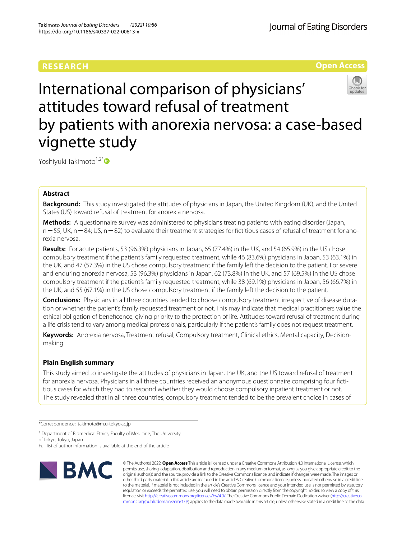## **RESEARCH**

Journal of Eating Disorders

## **Open Access**

# International comparison of physicians' attitudes toward refusal of treatment by patients with anorexia nervosa: a case-based vignette study

Yoshiyuki Takimoto<sup>1,2\*</sup>

## **Abstract**

**Background:** This study investigated the attitudes of physicians in Japan, the United Kingdom (UK), and the United States (US) toward refusal of treatment for anorexia nervosa.

**Methods:** A questionnaire survey was administered to physicians treating patients with eating disorder (Japan,  $n=55$ ; UK,  $n=84$ ; US,  $n=82$ ) to evaluate their treatment strategies for fictitious cases of refusal of treatment for anorexia nervosa.

**Results:** For acute patients, 53 (96.3%) physicians in Japan, 65 (77.4%) in the UK, and 54 (65.9%) in the US chose compulsory treatment if the patient's family requested treatment, while 46 (83.6%) physicians in Japan, 53 (63.1%) in the UK, and 47 (57.3%) in the US chose compulsory treatment if the family left the decision to the patient. For severe and enduring anorexia nervosa, 53 (96.3%) physicians in Japan, 62 (73.8%) in the UK, and 57 (69.5%) in the US chose compulsory treatment if the patient's family requested treatment, while 38 (69.1%) physicians in Japan, 56 (66.7%) in the UK, and 55 (67.1%) in the US chose compulsory treatment if the family left the decision to the patient.

**Conclusions:** Physicians in all three countries tended to choose compulsory treatment irrespective of disease duration or whether the patient's family requested treatment or not. This may indicate that medical practitioners value the ethical obligation of benefcence, giving priority to the protection of life. Attitudes toward refusal of treatment during a life crisis tend to vary among medical professionals, particularly if the patient's family does not request treatment.

**Keywords:** Anorexia nervosa, Treatment refusal, Compulsory treatment, Clinical ethics, Mental capacity, Decisionmaking

## **Plain English summary**

This study aimed to investigate the attitudes of physicians in Japan, the UK, and the US toward refusal of treatment for anorexia nervosa. Physicians in all three countries received an anonymous questionnaire comprising four fctitious cases for which they had to respond whether they would choose compulsory inpatient treatment or not. The study revealed that in all three countries, compulsory treatment tended to be the prevalent choice in cases of

\*Correspondence: takimoto@m.u-tokyo.ac.jp

Full list of author information is available at the end of the article



© The Author(s) 2022. **Open Access** This article is licensed under a Creative Commons Attribution 4.0 International License, which permits use, sharing, adaptation, distribution and reproduction in any medium or format, as long as you give appropriate credit to the original author(s) and the source, provide a link to the Creative Commons licence, and indicate if changes were made. The images or other third party material in this article are included in the article's Creative Commons licence, unless indicated otherwise in a credit line to the material. If material is not included in the article's Creative Commons licence and your intended use is not permitted by statutory regulation or exceeds the permitted use, you will need to obtain permission directly from the copyright holder. To view a copy of this licence, visit [http://creativecommons.org/licenses/by/4.0/.](http://creativecommons.org/licenses/by/4.0/) The Creative Commons Public Domain Dedication waiver ([http://creativeco](http://creativecommons.org/publicdomain/zero/1.0/) [mmons.org/publicdomain/zero/1.0/](http://creativecommons.org/publicdomain/zero/1.0/)) applies to the data made available in this article, unless otherwise stated in a credit line to the data.

<sup>&</sup>lt;sup>1</sup> Department of Biomedical Ethics, Faculty of Medicine, The University of Tokyo, Tokyo, Japan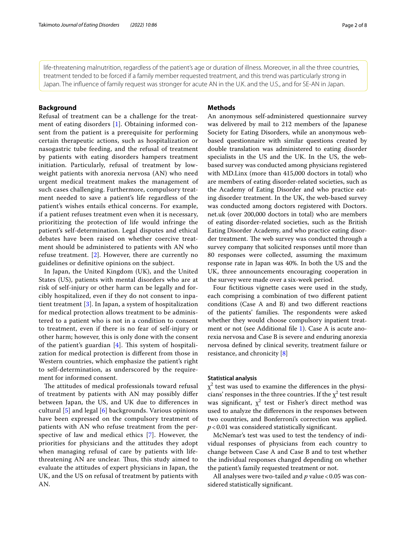life-threatening malnutrition, regardless of the patient's age or duration of illness. Moreover, in all the three countries,

## **Background**

Refusal of treatment can be a challenge for the treatment of eating disorders [[1\]](#page-6-0). Obtaining informed consent from the patient is a prerequisite for performing certain therapeutic actions, such as hospitalization or nasogastric tube feeding, and the refusal of treatment by patients with eating disorders hampers treatment initiation. Particularly, refusal of treatment by lowweight patients with anorexia nervosa (AN) who need urgent medical treatment makes the management of such cases challenging. Furthermore, compulsory treatment needed to save a patient's life regardless of the patient's wishes entails ethical concerns. For example, if a patient refuses treatment even when it is necessary, prioritizing the protection of life would infringe the patient's self-determination. Legal disputes and ethical debates have been raised on whether coercive treatment should be administered to patients with AN who refuse treatment. [\[2](#page-7-0)]. However, there are currently no guidelines or defnitive opinions on the subject.

In Japan, the United Kingdom (UK), and the United States (US), patients with mental disorders who are at risk of self-injury or other harm can be legally and forcibly hospitalized, even if they do not consent to inpatient treatment [[3](#page-7-1)]. In Japan, a system of hospitalization for medical protection allows treatment to be administered to a patient who is not in a condition to consent to treatment, even if there is no fear of self-injury or other harm; however, this is only done with the consent of the patient's guardian  $[4]$  $[4]$ . This system of hospitalization for medical protection is diferent from those in Western countries, which emphasize the patient's right to self-determination, as underscored by the requirement for informed consent.

The attitudes of medical professionals toward refusal of treatment by patients with AN may possibly difer between Japan, the US, and UK due to diferences in cultural [\[5](#page-7-3)] and legal [\[6](#page-7-4)] backgrounds. Various opinions have been expressed on the compulsory treatment of patients with AN who refuse treatment from the perspective of law and medical ethics [[7\]](#page-7-5). However, the priorities for physicians and the attitudes they adopt when managing refusal of care by patients with lifethreatening AN are unclear. Thus, this study aimed to evaluate the attitudes of expert physicians in Japan, the UK, and the US on refusal of treatment by patients with AN.

## **Methods**

treatment tended to be forced if a family member requested treatment, and this trend was particularly strong in Japan. The infuence of family request was stronger for acute AN in the U.K. and the U.S., and for SE-AN in Japan.

> An anonymous self-administered questionnaire survey was delivered by mail to 212 members of the Japanese Society for Eating Disorders, while an anonymous webbased questionnaire with similar questions created by double translation was administered to eating disorder specialists in the US and the UK. In the US, the webbased survey was conducted among physicians registered with MD.Linx (more than 415,000 doctors in total) who are members of eating disorder-related societies, such as the Academy of Eating Disorder and who practice eating disorder treatment. In the UK, the web-based survey was conducted among doctors registered with Doctors. net.uk (over 200,000 doctors in total) who are members of eating disorder-related societies, such as the British Eating Disorder Academy, and who practice eating disorder treatment. The web survey was conducted through a survey company that solicited responses until more than 80 responses were collected, assuming the maximum response rate in Japan was 40%. In both the US and the UK, three announcements encouraging cooperation in the survey were made over a six-week period.

> Four fictitious vignette cases were used in the study, each comprising a combination of two diferent patient conditions (Case A and B) and two diferent reactions of the patients' families. The respondents were asked whether they would choose compulsory inpatient treat-ment or not (see Additional file [1](#page-6-1)). Case A is acute anorexia nervosa and Case B is severe and enduring anorexia nervosa defned by clinical severity, treatment failure or resistance, and chronicity [\[8](#page-7-6)]

## **Statistical analysis**

 $\chi^2$  test was used to examine the differences in the physicians' responses in the three countries. If the  $\chi^2$  test result was significant,  $\chi^2$  test or Fisher's direct method was used to analyze the diferences in the responses between two countries, and Bonferroni's correction was applied. *p*<0.01 was considered statistically signifcant.

McNemar's test was used to test the tendency of individual responses of physicians from each country to change between Case A and Case B and to test whether the individual responses changed depending on whether the patient's family requested treatment or not.

All analyses were two-tailed and *p* value < 0.05 was considered statistically signifcant.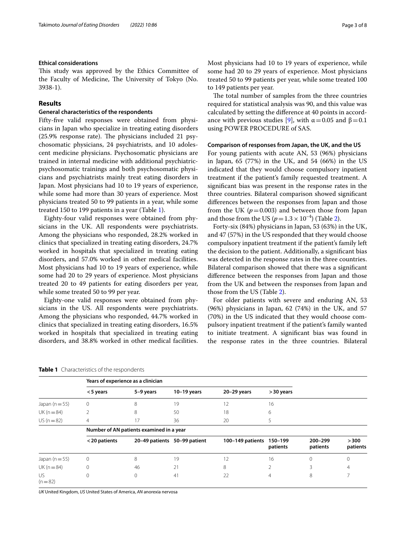### **Ethical considerations**

This study was approved by the Ethics Committee of the Faculty of Medicine, The University of Tokyo (No. 3938-1).

## **Results**

## **General characteristics of the respondents**

Fifty-fve valid responses were obtained from physicians in Japan who specialize in treating eating disorders  $(25.9\%$  response rate). The physicians included 21 psychosomatic physicians, 24 psychiatrists, and 10 adolescent medicine physicians. Psychosomatic physicians are trained in internal medicine with additional psychiatricpsychosomatic trainings and both psychosomatic physicians and psychiatrists mainly treat eating disorders in Japan. Most physicians had 10 to 19 years of experience, while some had more than 30 years of experience. Most physicians treated 50 to 99 patients in a year, while some treated 150 to 199 patients in a year (Table [1](#page-2-0)).

Eighty-four valid responses were obtained from physicians in the UK. All respondents were psychiatrists. Among the physicians who responded, 28.2% worked in clinics that specialized in treating eating disorders, 24.7% worked in hospitals that specialized in treating eating disorders, and 57.0% worked in other medical facilities. Most physicians had 10 to 19 years of experience, while some had 20 to 29 years of experience. Most physicians treated 20 to 49 patients for eating disorders per year, while some treated 50 to 99 per year.

Eighty-one valid responses were obtained from physicians in the US. All respondents were psychiatrists. Among the physicians who responded, 44.7% worked in clinics that specialized in treating eating disorders, 16.5% worked in hospitals that specialized in treating eating disorders, and 38.8% worked in other medical facilities.

Most physicians had 10 to 19 years of experience, while some had 20 to 29 years of experience. Most physicians treated 50 to 99 patients per year, while some treated 100 to 149 patients per year.

The total number of samples from the three countries required for statistical analysis was 90, and this value was calculated by setting the diference at 40 points in accord-ance with previous studies [[9\]](#page-7-7), with  $\alpha$  = 0.05 and β = 0.1 using POWER PROCEDURE of SAS.

#### **Comparison of responses from Japan, the UK, and the US**

For young patients with acute AN, 53 (96%) physicians in Japan, 65 (77%) in the UK, and 54 (66%) in the US indicated that they would choose compulsory inpatient treatment if the patient's family requested treatment. A signifcant bias was present in the response rates in the three countries. Bilateral comparison showed signifcant diferences between the responses from Japan and those from the UK ( $p=0.003$ ) and between those from Japan and those from the US ( $p=1.3\times10^{-4}$ ) (Table [2](#page-3-0)).

Forty-six (84%) physicians in Japan, 53 (63%) in the UK, and 47 (57%) in the US responded that they would choose compulsory inpatient treatment if the patient's family left the decision to the patient. Additionally, a signifcant bias was detected in the response rates in the three countries. Bilateral comparison showed that there was a signifcant diference between the responses from Japan and those from the UK and between the responses from Japan and those from the US (Table [2](#page-3-0)).

For older patients with severe and enduring AN, 53 (96%) physicians in Japan, 62 (74%) in the UK, and 57 (70%) in the US indicated that they would choose compulsory inpatient treatment if the patient's family wanted to initiate treatment. A signifcant bias was found in the response rates in the three countries. Bilateral

<span id="page-2-0"></span>

|                    | Years of experience as a clinician       |                |               |                  |                     |                     |                   |  |  |
|--------------------|------------------------------------------|----------------|---------------|------------------|---------------------|---------------------|-------------------|--|--|
|                    | $<$ 5 years                              | 5-9 years      | $10-19$ years | 20-29 years      | > 30 years          |                     |                   |  |  |
| Japan ( $n = 55$ ) | $\circ$                                  | 8              | 19            | 12               | 16                  |                     |                   |  |  |
| $UK(n=84)$         | 2                                        | 8              | 50            | 18               | 6                   |                     |                   |  |  |
| $US (n = 82)$      | 4                                        | 17             | 36            | 20               | 5                   |                     |                   |  |  |
|                    | Number of AN patients examined in a year |                |               |                  |                     |                     |                   |  |  |
|                    | <20 patients                             | 20-49 patients | 50-99 patient | 100-149 patients | 150-199<br>patients | 200-299<br>patients | > 300<br>patients |  |  |
| Japan ( $n = 55$ ) | $\circ$                                  | 8              | 19            | 12               | 16                  | $\Omega$            | $\mathbf 0$       |  |  |
| $UK(n=84)$         | $\Omega$                                 | 46             | 21            | 8                | 2                   | 3                   | $\overline{4}$    |  |  |
| US.<br>$(n=82)$    | $\Omega$                                 | 0              | 41            | 22               | $\overline{4}$      | 8                   |                   |  |  |

*UK* United Kingdom, *US* United States of America, *AN* anorexia nervosa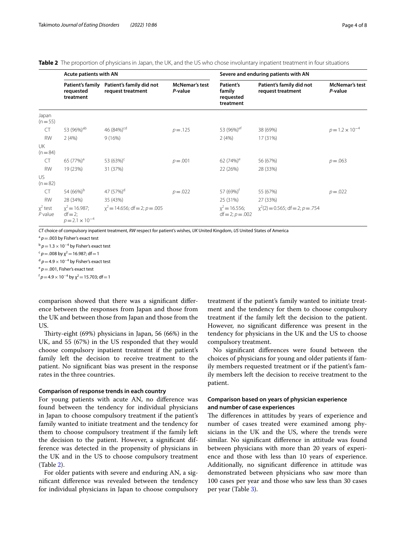<span id="page-3-0"></span>**Table 2** The proportion of physicians in Japan, the UK, and the US who chose involuntary inpatient treatment in four situations

|                         | Acute patients with AN                            |                                                    |                                  |                                               | Severe and enduring patients with AN          |                                  |  |  |
|-------------------------|---------------------------------------------------|----------------------------------------------------|----------------------------------|-----------------------------------------------|-----------------------------------------------|----------------------------------|--|--|
|                         | <b>Patient's family</b><br>requested<br>treatment | Patient's family did not<br>request treatment      | <b>McNemar's test</b><br>P-value | Patient's<br>family<br>requested<br>treatment | Patient's family did not<br>request treatment | <b>McNemar's test</b><br>P-value |  |  |
| Japan<br>$(n=55)$       |                                                   |                                                    |                                  |                                               |                                               |                                  |  |  |
| <b>CT</b>               | 53 (96%) <sup>ab</sup>                            | 46 (84%) <sup>cd</sup>                             | $p = .125$                       | 53 (96%) <sup>ef</sup>                        | 38 (69%)                                      | $p = 1.2 \times 10^{-4}$         |  |  |
| <b>RW</b>               | 2(4%)                                             | 9(16%)                                             |                                  | 2(4%)                                         | 17 (31%)                                      |                                  |  |  |
| UK<br>$(n = 84)$        |                                                   |                                                    |                                  |                                               |                                               |                                  |  |  |
| <b>CT</b>               | 65 (77%) <sup>a</sup>                             | 53 $(63%)^c$                                       | $p = .001$                       | 62 $(74%)^e$                                  | 56 (67%)                                      | $p = 0.063$                      |  |  |
| <b>RW</b>               | 19 (23%)                                          | 31 (37%)                                           |                                  | 22 (26%)                                      | 28 (33%)                                      |                                  |  |  |
| US.<br>$(n=82)$         |                                                   |                                                    |                                  |                                               |                                               |                                  |  |  |
| <b>CT</b>               | 54 (66%) <sup>b</sup>                             | 47 (57%) <sup>d</sup>                              | $p = 0.022$                      | 57 (69%) <sup>t</sup>                         | 55 (67%)                                      | $p = 0.022$                      |  |  |
| <b>RW</b>               | 28 (34%)                                          | 35 (43%)                                           |                                  | 25 (31%)                                      | 27 (33%)                                      |                                  |  |  |
| $x^2$ test<br>$P$ value | $df = 2;$<br>$p = 2.1 \times 10^{-4}$             | $x^2 = 16.987$ ; $x^2 = 14.656$ ; df = 2; p = 0.05 |                                  | $x^2 = 16.556$ ;<br>$df = 2$ ; $p = .002$     | $x^2(2) = 0.565$ ; df = 2; p = .754           |                                  |  |  |

*CT* choice of compulsory inpatient treatment, *RW* respect for patient's wishes, *UK* United Kingdom, *US* United States of America

 $a^a$   $p = .003$  by Fisher's exact test

<sup>b</sup>  $p = 1.3 \times 10^{-4}$  by Fisher's exact test  $c^2$  *p* = .008 by  $\chi^2$  = 16.987; df = 1

<sup>d</sup>  $p=4.9\times10^{-4}$  by Fisher's exact test

 $e^e p = .001$ , Fisher's exact test

 $f p=4.9\times10^{-4}$  by  $\chi^2=15.703$ ; df = 1

comparison showed that there was a signifcant diference between the responses from Japan and those from the UK and between those from Japan and those from the US.

Thirty-eight (69%) physicians in Japan, 56 (66%) in the UK, and 55 (67%) in the US responded that they would choose compulsory inpatient treatment if the patient's family left the decision to receive treatment to the patient. No signifcant bias was present in the response rates in the three countries.

#### **Comparison of response trends in each country**

For young patients with acute AN, no diference was found between the tendency for individual physicians in Japan to choose compulsory treatment if the patient's family wanted to initiate treatment and the tendency for them to choose compulsory treatment if the family left the decision to the patient. However, a signifcant difference was detected in the propensity of physicians in the UK and in the US to choose compulsory treatment (Table [2](#page-3-0)).

For older patients with severe and enduring AN, a signifcant diference was revealed between the tendency for individual physicians in Japan to choose compulsory

treatment if the patient's family wanted to initiate treatment and the tendency for them to choose compulsory treatment if the family left the decision to the patient. However, no signifcant diference was present in the tendency for physicians in the UK and the US to choose compulsory treatment.

No signifcant diferences were found between the choices of physicians for young and older patients if family members requested treatment or if the patient's family members left the decision to receive treatment to the patient.

## **Comparison based on years of physician experience and number of case experiences**

The differences in attitudes by years of experience and number of cases treated were examined among physicians in the UK and the US, where the trends were similar. No signifcant diference in attitude was found between physicians with more than 20 years of experience and those with less than 10 years of experience. Additionally, no signifcant diference in attitude was demonstrated between physicians who saw more than 100 cases per year and those who saw less than 30 cases per year (Table [3\)](#page-4-0).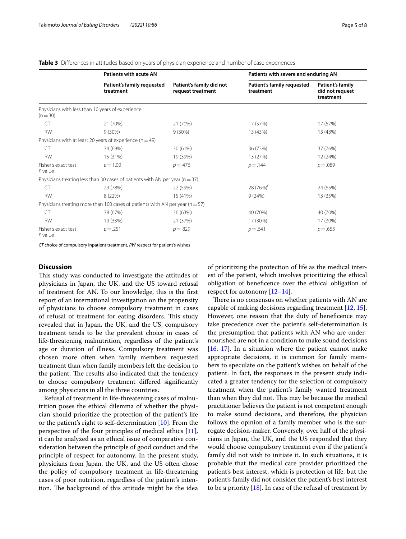<span id="page-4-0"></span>

|  |  |  |  |  |  |  |  |  |  | Table 3 Differences in attitudes based on vears of physician experience and number of case experiences |
|--|--|--|--|--|--|--|--|--|--|--------------------------------------------------------------------------------------------------------|
|--|--|--|--|--|--|--|--|--|--|--------------------------------------------------------------------------------------------------------|

|                                  | <b>Patients with acute AN</b>                                                     |                                               |                                         | Patients with severe and enduring AN             |  |  |
|----------------------------------|-----------------------------------------------------------------------------------|-----------------------------------------------|-----------------------------------------|--------------------------------------------------|--|--|
|                                  | Patient's family requested<br>treatment                                           | Patient's family did not<br>request treatment | Patient's family requested<br>treatment | Patient's family<br>did not request<br>treatment |  |  |
| $(n=30)$                         | Physicians with less than 10 years of experience                                  |                                               |                                         |                                                  |  |  |
| CT                               | 21 (70%)                                                                          | 21 (70%)                                      | 17 (57%)                                | 17 (57%)                                         |  |  |
| <b>RW</b>                        | 9(30%)                                                                            | $9(30\%)$                                     | 13 (43%)                                | 13 (43%)                                         |  |  |
|                                  | Physicians with at least 20 years of experience ( $n = 49$ )                      |                                               |                                         |                                                  |  |  |
| CT.                              | 34 (69%)                                                                          | 30 (61%)                                      | 36 (73%)                                | 37 (76%)                                         |  |  |
| <b>RW</b>                        | 15 (31%)                                                                          | 19 (39%)                                      | 13 (27%)                                | 12 (24%)                                         |  |  |
| Fisher's exact test<br>$P$ value | $p = 1.00$                                                                        | $p = 0.476$                                   | $p = 0.144$                             | $p = 0.089$                                      |  |  |
|                                  | Physicians treating less than 30 cases of patients with AN per year ( $n = 37$ )  |                                               |                                         |                                                  |  |  |
| <b>CT</b>                        | 29 (78%)                                                                          | 22 (59%)                                      | 28 (76%) <sup>t</sup>                   | 24 (65%)                                         |  |  |
| <b>RW</b>                        | 8 (22%)                                                                           | 15 (41%)                                      | 9(24%)                                  | 13 (35%)                                         |  |  |
|                                  | Physicians treating more than 100 cases of patients with AN per year ( $n = 57$ ) |                                               |                                         |                                                  |  |  |
| CT                               | 38 (67%)                                                                          | 36 (63%)                                      | 40 (70%)                                | 40 (70%)                                         |  |  |
| <b>RW</b>                        | 19 (33%)                                                                          | 21 (37%)                                      | 17 (30%)                                | 17 (30%)                                         |  |  |
| Fisher's exact test<br>$P$ value | $p = .251$                                                                        | $p = 0.829$                                   | $p = .641$                              | $p = .653$                                       |  |  |

*CT* choice of compulsory inpatient treatment, *RW* respect for patient's wishes

## **Discussion**

This study was conducted to investigate the attitudes of physicians in Japan, the UK, and the US toward refusal of treatment for AN. To our knowledge, this is the frst report of an international investigation on the propensity of physicians to choose compulsory treatment in cases of refusal of treatment for eating disorders. This study revealed that in Japan, the UK, and the US, compulsory treatment tends to be the prevalent choice in cases of life-threatening malnutrition, regardless of the patient's age or duration of illness. Compulsory treatment was chosen more often when family members requested treatment than when family members left the decision to the patient. The results also indicated that the tendency to choose compulsory treatment difered signifcantly among physicians in all the three countries.

Refusal of treatment in life-threatening cases of malnutrition poses the ethical dilemma of whether the physician should prioritize the protection of the patient's life or the patient's right to self-determination [\[10\]](#page-7-8). From the perspective of the four principles of medical ethics [\[11](#page-7-9)], it can be analyzed as an ethical issue of comparative consideration between the principle of good conduct and the principle of respect for autonomy. In the present study, physicians from Japan, the UK, and the US often chose the policy of compulsory treatment in life-threatening cases of poor nutrition, regardless of the patient's intention. The background of this attitude might be the idea of prioritizing the protection of life as the medical interest of the patient, which involves prioritizing the ethical obligation of benefcence over the ethical obligation of respect for autonomy [[12](#page-7-10)[–14](#page-7-11)].

There is no consensus on whether patients with AN are capable of making decisions regarding treatment [[12,](#page-7-10) [15](#page-7-12)]. However, one reason that the duty of beneficence may take precedence over the patient's self-determination is the presumption that patients with AN who are undernourished are not in a condition to make sound decisions [[16,](#page-7-13) [17\]](#page-7-14). In a situation where the patient cannot make appropriate decisions, it is common for family members to speculate on the patient's wishes on behalf of the patient. In fact, the responses in the present study indicated a greater tendency for the selection of compulsory treatment when the patient's family wanted treatment than when they did not. This may be because the medical practitioner believes the patient is not competent enough to make sound decisions, and therefore, the physician follows the opinion of a family member who is the surrogate decision-maker. Conversely, over half of the physicians in Japan, the UK, and the US responded that they would choose compulsory treatment even if the patient's family did not wish to initiate it. In such situations, it is probable that the medical care provider prioritized the patient's best interest, which is protection of life, but the patient's family did not consider the patient's best interest to be a priority  $[18]$  $[18]$ . In case of the refusal of treatment by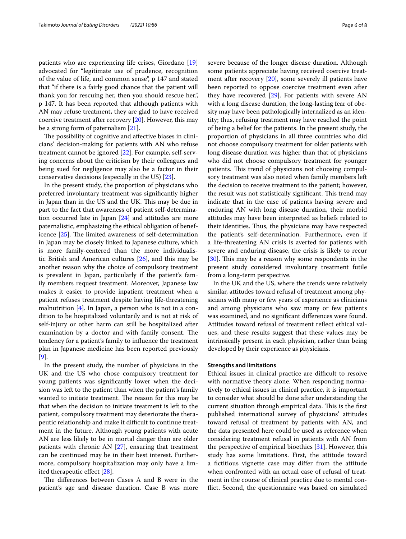patients who are experiencing life crises, Giordano [[19](#page-7-16)] advocated for "legitimate use of prudence, recognition of the value of life, and common sense", p 147 and stated that "if there is a fairly good chance that the patient will thank you for rescuing her, then you should rescue her.", p 147. It has been reported that although patients with AN may refuse treatment, they are glad to have received coercive treatment after recovery [[20\]](#page-7-17). However, this may be a strong form of paternalism [\[21](#page-7-18)].

The possibility of cognitive and affective biases in clinicians' decision-making for patients with AN who refuse treatment cannot be ignored [[22\]](#page-7-19). For example, self-serving concerns about the criticism by their colleagues and being sued for negligence may also be a factor in their conservative decisions (especially in the US) [[23\]](#page-7-20).

In the present study, the proportion of physicians who preferred involuntary treatment was signifcantly higher in Japan than in the US and the UK. This may be due in part to the fact that awareness of patient self-determination occurred late in Japan [\[24](#page-7-21)] and attitudes are more paternalistic, emphasizing the ethical obligation of beneficence  $[25]$  $[25]$ . The limited awareness of self-determination in Japan may be closely linked to Japanese culture, which is more family-centered than the more individualistic British and American cultures [\[26\]](#page-7-23), and this may be another reason why the choice of compulsory treatment is prevalent in Japan, particularly if the patient's family members request treatment. Moreover, Japanese law makes it easier to provide inpatient treatment when a patient refuses treatment despite having life-threatening malnutrition [\[4\]](#page-7-2). In Japan, a person who is not in a condition to be hospitalized voluntarily and is not at risk of self-injury or other harm can still be hospitalized after examination by a doctor and with family consent. The tendency for a patient's family to infuence the treatment plan in Japanese medicine has been reported previously [[9\]](#page-7-7).

In the present study, the number of physicians in the UK and the US who chose compulsory treatment for young patients was signifcantly lower when the decision was left to the patient than when the patient's family wanted to initiate treatment. The reason for this may be that when the decision to initiate treatment is left to the patient, compulsory treatment may deteriorate the therapeutic relationship and make it difficult to continue treatment in the future. Although young patients with acute AN are less likely to be in mortal danger than are older patients with chronic AN [[27](#page-7-24)], ensuring that treatment can be continued may be in their best interest. Furthermore, compulsory hospitalization may only have a limited therapeutic efect [[28](#page-7-25)].

The differences between Cases A and B were in the patient's age and disease duration. Case B was more

severe because of the longer disease duration. Although some patients appreciate having received coercive treatment after recovery [\[20](#page-7-17)], some severely ill patients have been reported to oppose coercive treatment even after they have recovered [\[29](#page-7-26)]. For patients with severe AN with a long disease duration, the long-lasting fear of obesity may have been pathologically internalized as an identity; thus, refusing treatment may have reached the point of being a belief for the patients. In the present study, the proportion of physicians in all three countries who did not choose compulsory treatment for older patients with long disease duration was higher than that of physicians who did not choose compulsory treatment for younger patients. This trend of physicians not choosing compulsory treatment was also noted when family members left the decision to receive treatment to the patient; however, the result was not statistically significant. This trend may indicate that in the case of patients having severe and enduring AN with long disease duration, their morbid attitudes may have been interpreted as beliefs related to their identities. Thus, the physicians may have respected the patient's self-determination. Furthermore, even if a life-threatening AN crisis is averted for patients with severe and enduring disease, the crisis is likely to recur [[30\]](#page-7-27). This may be a reason why some respondents in the present study considered involuntary treatment futile from a long-term perspective.

In the UK and the US, where the trends were relatively similar, attitudes toward refusal of treatment among physicians with many or few years of experience as clinicians and among physicians who saw many or few patients was examined, and no signifcant diferences were found. Attitudes toward refusal of treatment refect ethical values, and these results suggest that these values may be intrinsically present in each physician, rather than being developed by their experience as physicians.

#### **Strengths and limitations**

Ethical issues in clinical practice are difficult to resolve with normative theory alone. When responding normatively to ethical issues in clinical practice, it is important to consider what should be done after understanding the current situation through empirical data. This is the first published international survey of physicians' attitudes toward refusal of treatment by patients with AN, and the data presented here could be used as reference when considering treatment refusal in patients with AN from the perspective of empirical bioethics [[31](#page-7-28)]. However, this study has some limitations. First, the attitude toward a fctitious vignette case may difer from the attitude when confronted with an actual case of refusal of treatment in the course of clinical practice due to mental confict. Second, the questionnaire was based on simulated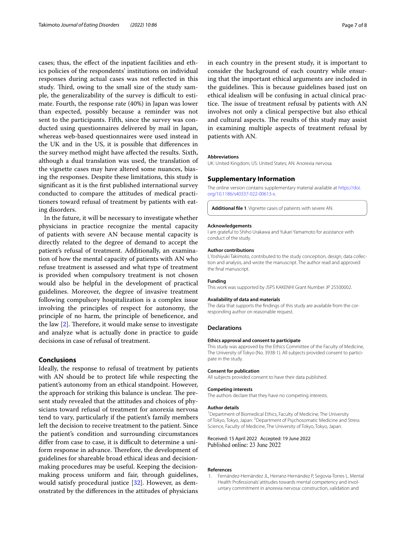cases; thus, the efect of the inpatient facilities and ethics policies of the respondents' institutions on individual responses during actual cases was not refected in this study. Third, owing to the small size of the study sample, the generalizability of the survey is difficult to estimate. Fourth, the response rate (40%) in Japan was lower than expected, possibly because a reminder was not sent to the participants. Fifth, since the survey was conducted using questionnaires delivered by mail in Japan, whereas web-based questionnaires were used instead in the UK and in the US, it is possible that diferences in the survey method might have afected the results. Sixth, although a dual translation was used, the translation of the vignette cases may have altered some nuances, biasing the responses. Despite these limitations, this study is signifcant as it is the frst published international survey conducted to compare the attitudes of medical practitioners toward refusal of treatment by patients with eating disorders.

In the future, it will be necessary to investigate whether physicians in practice recognize the mental capacity of patients with severe AN because mental capacity is directly related to the degree of demand to accept the patient's refusal of treatment. Additionally, an examination of how the mental capacity of patients with AN who refuse treatment is assessed and what type of treatment is provided when compulsory treatment is not chosen would also be helpful in the development of practical guidelines. Moreover, the degree of invasive treatment following compulsory hospitalization is a complex issue involving the principles of respect for autonomy, the principle of no harm, the principle of benefcence, and the law  $[2]$  $[2]$ . Therefore, it would make sense to investigate and analyze what is actually done in practice to guide decisions in case of refusal of treatment.

## **Conclusions**

Ideally, the response to refusal of treatment by patients with AN should be to protect life while respecting the patient's autonomy from an ethical standpoint. However, the approach for striking this balance is unclear. The present study revealed that the attitudes and choices of physicians toward refusal of treatment for anorexia nervosa tend to vary, particularly if the patient's family members left the decision to receive treatment to the patient. Since the patient's condition and surrounding circumstances differ from case to case, it is difficult to determine a uniform response in advance. Therefore, the development of guidelines for shareable broad ethical ideas and decisionmaking procedures may be useful. Keeping the decisionmaking process uniform and fair, through guidelines, would satisfy procedural justice [\[32\]](#page-7-29). However, as demonstrated by the diferences in the attitudes of physicians

in each country in the present study, it is important to consider the background of each country while ensuring that the important ethical arguments are included in the guidelines. This is because guidelines based just on ethical idealism will be confusing in actual clinical practice. The issue of treatment refusal by patients with AN involves not only a clinical perspective but also ethical and cultural aspects. The results of this study may assist in examining multiple aspects of treatment refusal by patients with AN.

#### **Abbreviations**

UK: United Kingdom; US: United States; AN: Anorexia nervosa.

#### **Supplementary Information**

The online version contains supplementary material available at [https://doi.](https://doi.org/10.1186/s40337-022-00613-x) [org/10.1186/s40337-022-00613-x.](https://doi.org/10.1186/s40337-022-00613-x)

<span id="page-6-1"></span>**Additional fle 1**. Vignette cases of patients with severe AN.

#### **Acknowledgements**

I am grateful to Shiho Urakawa and Yukari Yamamoto for assistance with conduct of the study.

#### **Author contributions**

I, Yoshiyuki Takimoto, contributed to the study conception, design, data collection and analysis, and wrote the manuscript. The author read and approved the fnal manuscript.

#### **Funding**

This work was supported by JSPS KAKENHI Grant Number JP 25500002.

#### **Availability of data and materials**

The data that supports the fndings of this study are available from the corresponding author on reasonable request.

#### **Declarations**

#### **Ethics approval and consent to participate**

This study was approved by the Ethics Committee of the Faculty of Medicine, The University of Tokyo (No. 3938-1). All subjects provided consent to participate in the study.

#### **Consent for publication**

All subjects provided consent to have their data published.

#### **Competing interests**

The authors declare that they have no competing interests.

#### **Author details**

<sup>1</sup> Department of Biomedical Ethics, Faculty of Medicine, The University of Tokyo, Tokyo, Japan. <sup>2</sup> Department of Psychosomatic Medicine and Stress Science, Faculty of Medicine, The University of Tokyo, Tokyo, Japan.

#### Received: 15 April 2022 Accepted: 19 June 2022 Published online: 23 June 2022

#### **References**

<span id="page-6-0"></span>1. Fernández-Hernández JL, Herranz-Hernández P, Segovia-Torres L. Mental Health Professionals' attitudes towards mental competency and involuntary commitment in anorexia nervosa: construction, validation and